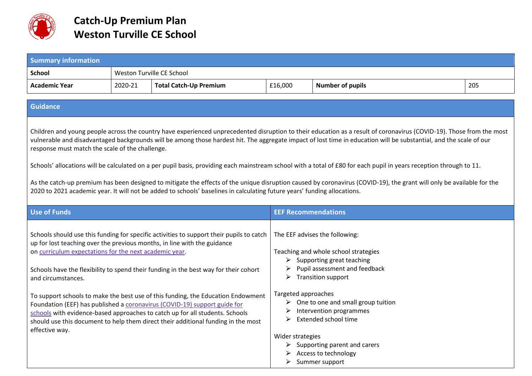

| <b>Summary information</b>                                                                                                                                                                                                                                                                                                                                                                                                                                                                                                                                                                                                                                                                                                                                                                                                                                                |                           |                                                                                                                                                                                                                                                                                                                                                                                                                                                                                                                                                                                                    |                                                   |                                                                                                                                                                                                                                                                                                                                                                                                                    |     |  |  |  |  |
|---------------------------------------------------------------------------------------------------------------------------------------------------------------------------------------------------------------------------------------------------------------------------------------------------------------------------------------------------------------------------------------------------------------------------------------------------------------------------------------------------------------------------------------------------------------------------------------------------------------------------------------------------------------------------------------------------------------------------------------------------------------------------------------------------------------------------------------------------------------------------|---------------------------|----------------------------------------------------------------------------------------------------------------------------------------------------------------------------------------------------------------------------------------------------------------------------------------------------------------------------------------------------------------------------------------------------------------------------------------------------------------------------------------------------------------------------------------------------------------------------------------------------|---------------------------------------------------|--------------------------------------------------------------------------------------------------------------------------------------------------------------------------------------------------------------------------------------------------------------------------------------------------------------------------------------------------------------------------------------------------------------------|-----|--|--|--|--|
| <b>School</b>                                                                                                                                                                                                                                                                                                                                                                                                                                                                                                                                                                                                                                                                                                                                                                                                                                                             | Weston Turville CE School |                                                                                                                                                                                                                                                                                                                                                                                                                                                                                                                                                                                                    |                                                   |                                                                                                                                                                                                                                                                                                                                                                                                                    |     |  |  |  |  |
| <b>Academic Year</b>                                                                                                                                                                                                                                                                                                                                                                                                                                                                                                                                                                                                                                                                                                                                                                                                                                                      | 2020-21                   | <b>Total Catch-Up Premium</b>                                                                                                                                                                                                                                                                                                                                                                                                                                                                                                                                                                      | £16,000                                           | <b>Number of pupils</b>                                                                                                                                                                                                                                                                                                                                                                                            | 205 |  |  |  |  |
|                                                                                                                                                                                                                                                                                                                                                                                                                                                                                                                                                                                                                                                                                                                                                                                                                                                                           |                           |                                                                                                                                                                                                                                                                                                                                                                                                                                                                                                                                                                                                    |                                                   |                                                                                                                                                                                                                                                                                                                                                                                                                    |     |  |  |  |  |
| <b>Guidance</b>                                                                                                                                                                                                                                                                                                                                                                                                                                                                                                                                                                                                                                                                                                                                                                                                                                                           |                           |                                                                                                                                                                                                                                                                                                                                                                                                                                                                                                                                                                                                    |                                                   |                                                                                                                                                                                                                                                                                                                                                                                                                    |     |  |  |  |  |
| Children and young people across the country have experienced unprecedented disruption to their education as a result of coronavirus (COVID-19). Those from the most<br>vulnerable and disadvantaged backgrounds will be among those hardest hit. The aggregate impact of lost time in education will be substantial, and the scale of our<br>response must match the scale of the challenge.<br>Schools' allocations will be calculated on a per pupil basis, providing each mainstream school with a total of £80 for each pupil in years reception through to 11.<br>As the catch-up premium has been designed to mitigate the effects of the unique disruption caused by coronavirus (COVID-19), the grant will only be available for the<br>2020 to 2021 academic year. It will not be added to schools' baselines in calculating future years' funding allocations. |                           |                                                                                                                                                                                                                                                                                                                                                                                                                                                                                                                                                                                                    |                                                   |                                                                                                                                                                                                                                                                                                                                                                                                                    |     |  |  |  |  |
| <b>Use of Funds</b>                                                                                                                                                                                                                                                                                                                                                                                                                                                                                                                                                                                                                                                                                                                                                                                                                                                       |                           |                                                                                                                                                                                                                                                                                                                                                                                                                                                                                                                                                                                                    | <b>EEF Recommendations</b>                        |                                                                                                                                                                                                                                                                                                                                                                                                                    |     |  |  |  |  |
| on curriculum expectations for the next academic year.<br>and circumstances.<br>effective way.                                                                                                                                                                                                                                                                                                                                                                                                                                                                                                                                                                                                                                                                                                                                                                            |                           | Schools should use this funding for specific activities to support their pupils to catch<br>up for lost teaching over the previous months, in line with the guidance<br>Schools have the flexibility to spend their funding in the best way for their cohort<br>To support schools to make the best use of this funding, the Education Endowment<br>Foundation (EEF) has published a coronavirus (COVID-19) support guide for<br>schools with evidence-based approaches to catch up for all students. Schools<br>should use this document to help them direct their additional funding in the most | Targeted approaches<br>➤<br>Wider strategies<br>➤ | The EEF advises the following:<br>Teaching and whole school strategies<br>$\triangleright$ Supporting great teaching<br>Pupil assessment and feedback<br>$\triangleright$ Transition support<br>$\triangleright$ One to one and small group tuition<br>Intervention programmes<br>Extended school time<br>$\triangleright$ Supporting parent and carers<br>$\triangleright$ Access to technology<br>Summer support |     |  |  |  |  |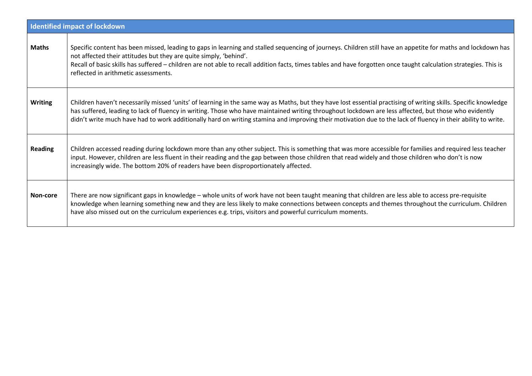| <b>Identified impact of lockdown</b> |                                                                                                                                                                                                                                                                                                                                                                                                                                                                                          |  |  |  |  |  |
|--------------------------------------|------------------------------------------------------------------------------------------------------------------------------------------------------------------------------------------------------------------------------------------------------------------------------------------------------------------------------------------------------------------------------------------------------------------------------------------------------------------------------------------|--|--|--|--|--|
| <b>Maths</b>                         | Specific content has been missed, leading to gaps in learning and stalled sequencing of journeys. Children still have an appetite for maths and lockdown has<br>not affected their attitudes but they are quite simply, 'behind'.<br>Recall of basic skills has suffered – children are not able to recall addition facts, times tables and have forgotten once taught calculation strategies. This is<br>reflected in arithmetic assessments.                                           |  |  |  |  |  |
| <b>Writing</b>                       | Children haven't necessarily missed 'units' of learning in the same way as Maths, but they have lost essential practising of writing skills. Specific knowledge<br>has suffered, leading to lack of fluency in writing. Those who have maintained writing throughout lockdown are less affected, but those who evidently<br>didn't write much have had to work additionally hard on writing stamina and improving their motivation due to the lack of fluency in their ability to write. |  |  |  |  |  |
| <b>Reading</b>                       | Children accessed reading during lockdown more than any other subject. This is something that was more accessible for families and required less teacher<br>input. However, children are less fluent in their reading and the gap between those children that read widely and those children who don't is now<br>increasingly wide. The bottom 20% of readers have been disproportionately affected.                                                                                     |  |  |  |  |  |
| Non-core                             | There are now significant gaps in knowledge - whole units of work have not been taught meaning that children are less able to access pre-requisite<br>knowledge when learning something new and they are less likely to make connections between concepts and themes throughout the curriculum. Children<br>have also missed out on the curriculum experiences e.g. trips, visitors and powerful curriculum moments.                                                                     |  |  |  |  |  |